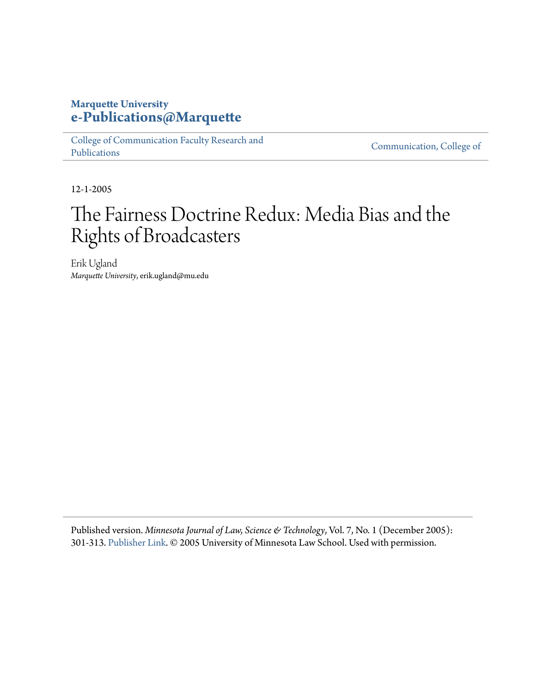# **Marquette University [e-Publications@Marquette](https://epublications.marquette.edu)**

[College of Communication Faculty Research and](https://epublications.marquette.edu/comm_fac) [Publications](https://epublications.marquette.edu/comm_fac)

[Communication, College of](https://epublications.marquette.edu/communication)

12-1-2005

# The Fairness Doctrine Redux: Media Bias and the Rights of Broadcasters

Erik Ugland *Marquette University*, erik.ugland@mu.edu

Published version. *Minnesota Journal of Law, Science & Technology*, Vol. 7, No. 1 (December 2005): 301-313. [Publisher Link](http://mjlst.umn.edu/previousissues/vol7iss1/home.html). © 2005 University of Minnesota Law School. Used with permission.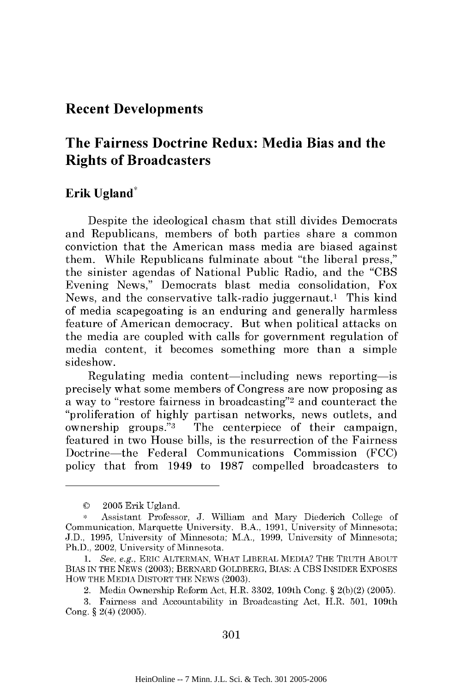# **Recent Developments Recent Developments**

# **The Fairness Doctrine Redux: Media Bias and the The Fairness Doctrine Media Bias the Rights of Broadcasters Rights of Broadcasters**

## **Erik Ugland\* Erik Ugland\***

Despite the ideological chasm that still divides Democrats and Republicans, members of both parties share a common and Republicans, members of parties share a common conviction that the American mass media are biased against conviction that the American mass media are biased against them. While Republicans fulminate about "the liberal press," the sinister agendas of National Public Radio, and the "CBS Evening News," Democrats blast media consolidation, Fox Evening News," Democrats blast media consolidation, Fox News, and the conservative talk-radio juggernaut.1 This kind News, and the conservative talk-radio juggernaut.l This kind of media scapegoating is an enduring and generally harmless of media scapegoating is an enduring and generally harmless feature of American democracy. But when political attacks on feature of American democracy. But when political attacks on the media are coupled with calls for government regulation of the media are coupled with calls for government regulation of media content, it becomes something more than a simple media content, it becomes something more than a simple sideshow. sideshow.

Regulating media content-including news reporting-is precisely what some members of Congress are now proposing as precisely what some members Congress are now proposing as a way to "restore fairness in broadcasting"2 and counteract the a way to "restore fairness in broadcasting"2 and counteract the "proliferation of highly partisan networks, news outlets, and "proliferation of highly partisan networks, news outlets, and ownership groups."<sup>3</sup> The centerpiece of their campaign, featured in two House bills, is the resurrection of the Fairness featured in two House bills, is the resurrection of the Fairness Doctrine-the Federal Communications Commission (FCC) Doctrine-the Federal Communications Commission (FCC) policy that from 1949 to 1987 compelled broadcasters to policy that from 1949 to 1987 compelled broadcasters to

<sup>© 2005</sup> Erik Ugland. © 2005 Erik U gland.

**<sup>\*</sup>** Assistant Professor, J. William and Mary Diederich College of \* Assistant Professor, J. William and Mary Diederich College of Communication, Marquette University. B.A., 1991, University of Minnesota; Communication, Marquette University. B.A., 1991, University of Minnesota; J.D., 1995, University of Minnesota; M.A., 1999, University of Minnesota; J.D., 1995, University of Minnesota; M.A., 1999, University of Minnesota; Ph.D., 2002, University of Minnesota. Ph.D., 2002, University of Minnesota.

<sup>1.</sup> See, e.g., ERIC ALTERMAN, WHAT LIBERAL MEDIA? THE TRUTH ABOUT BIAS IN THE NEWS (2003); BERNARD GOLDBERG, BIAS: A CBS INSIDER EXPOSES HOW THE MEDIA DISTORT THE NEWS (2003). HOW THE MEDIA DISTORT THE NEWS (2003).

<sup>2.</sup> Media Ownership Reform Act, H.R. 3302, 109th Cong. § 2(b)(2) (2005).

<sup>3.</sup> Fairness and Accountability in Broadcasting Act, H.R. 501, 109th 3. Fairness and Accountability in Broadcasting Act, H.R. 501, 109th Cong. § 2(4) (2005).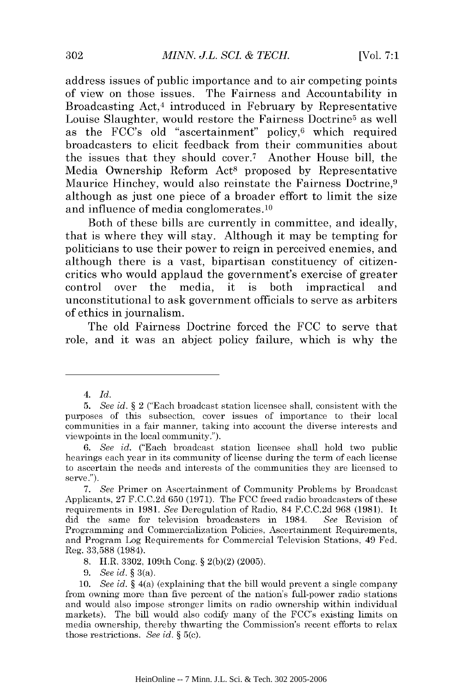address issues of public importance and to air competing points address issues of public importance and to air competing points of view on those issues. The Fairness and Accountability in of view on issues. The Fairness and Accountability in Broadcasting Act, 4 introduced in February **by** Representative Broadcasting Act,4 introduced in February by Representative Louise Slaughter, would restore the Fairness Doctrine<sup>5</sup> as well as the FCC's old "ascertainment" policy,<sup>6</sup> which required broadcasters to elicit feedback from their communities about broadcasters to elicit feedback from their communities about the issues that they should cover.<sup>7</sup> Another House bill, the Media Ownership Reform Act<sup>8</sup> proposed by Representative Maurice Hinchey, would also reinstate the Fairness Doctrine, <sup>9</sup> Maurice Hinchey, would also reinstate the Fairness Doctrine,9 although as just one piece of a broader effort to limit the size although as just one piece of a broader effort to limit the size and influence of media conglomerates. <sup>10</sup> and influence of media conglomerates.lo

Both of these bills are currently in committee, and ideally, Both of these bills are currently in committee, and ideally, that is where they will stay. Although it may be tempting for that is where they will stay. Although it may be tempting for politicians to use their power to reign in perceived enemies, and politicians to use their power to reign in perceived enemies, and although there is a vast, bipartisan constituency of citizen-although there is a vast, bipartisan constituency of citizencritics who would applaud the government's exercise of greater control over the media, it is both impractical and unconstitutional to ask government officials to serve as arbiters unconstitutional to ask government officials to serve as arbiters of ethics in journalism. of ethics journalism.

The old Fairness Doctrine forced the **FCC** to serve that The old Fairness Doctrine forced the FCC to serve that role, and it was an abject policy failure, which is why the

- 8. H.R. 3302, 109th Cong. § 2(b)(2) (2005).
- *9. See id.* § 3(a). *9. See id.* § 3(a).

*<sup>4.</sup> Id. 4. Id.* 

*<sup>5.</sup> See id.* § 2 ("Each broadcast station licensee shall, consistent with the *5. See id.* § 2 ("Each broadcast station licensee shall, consistent with the purposes of this subsection, cover issues of importance to their local communities in a fair manner, taking into account the diverse interests and communities in a fair manner, taking into account the diverse interests and viewpoints in the local community."). viewpoints in the local community.").

*<sup>6.</sup> See id.* ("Each broadcast station licensee shall hold two public *6. See id.* ("Each broadcast station licensee shall hold two public hearings each year in its community of license during the term of each license hearings each year in its community of license during the term of each license to ascertain the needs and interests of the communities they are licensed to to ascertain the needs and interests of the communities they are licensed to serve."). serve.").

<sup>7.</sup> See Primer on Ascertainment of Community Problems by Broadcast Applicants, 27 F.C.C.2d 650 (1971). The FCC freed radio broadcasters of these Applicants, 27 F.C.C.2d 650 (1971). The FCC freed radio broadcasters ofthese requirements in 1981. *See* Deregulation of Radio, 84 F.C.C.2d 968 (1981). It requirements in 1981. *See* Deregulation of Radio, 84 F.C.C.2d 968 (1981). It did the same for television broadcasters in 1984. *See* Revision of did the same for television broadcasters in 1984. *See* Revision of Programming and Commercialization Policies, Ascertainment Requirements, and Program Log Requirements for Commercial Television Stations, 49 Fed. and Program Log Requirements for Commercial Television Stations, 49 Fed. Reg. 33,588 (1984). Reg. 33,588 (1984).

<sup>10.</sup> *See id.* § 4(a) (explaining that the bill would prevent a single company *10. See id.* § 4(a) (explaining that the bill would prevent a single company from owning more than five percent of the nation's full-power radio stations from owning more than five percent of the nation's full-power radio stations and would also impose stronger limits on radio ownership within individual and would also impose stronger limits on radio ownership within individual markets). The bill would also codify many of the FCC's existing limits on markets). The bill would also codify many of the FCC's existing limits on media ownership, thereby thwarting the Commission's recent efforts to relax media ownership, thereby thwarting the Commission's recent efforts to relax those restrictions. *See id. §* 5(c). those restrictions. *See id.* § 5(c).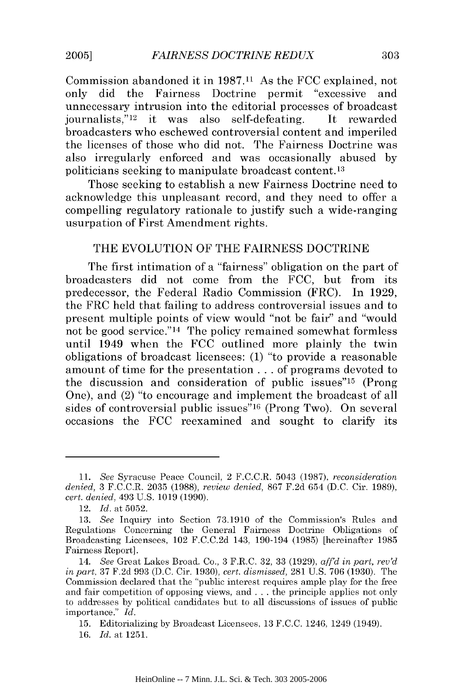Commission abandoned it in **1987.11** As the FCC explained, not Commission abandoned it in 1987.11 As the FCC explained, not only did the Fairness Doctrine permit "excessive and only did the Fairness Doctrine permit "excessive and unnecessary intrusion into the editorial processes of broadcast unnecessary intrusion into the editorial processes of broadcast journalists,"<sup>12</sup> it was also self-defeating. It rewarded broadcasters who eschewed controversial content and imperiled broadcasters who eschewed controversial content and imperiled the licenses of those who did not. The Fairness Doctrine was the licenses of those who did not. The Fairness Doctrine was also irregularly enforced and was occasionally abused by also irregularly enforced and was occasionally abused by politicians seeking to manipulate broadcast content. <sup>13</sup> politicians seeking to manipulate broadcast content.13

Those seeking to establish a new Fairness Doctrine need to Those seeking to establish a new Fairness Doctrine need to acknowledge this unpleasant record, and they need to offer a acknowledge this unpleasant record, and they need to offer a compelling regulatory rationale to justify such a wide-ranging compelling regulatory rationale to justify such a wide-ranging usurpation of First Amendment rights. usurpation of First Amendment rights.

## THE EVOLUTION OF THE FAIRNESS DOCTRINE THE EVOLUTION OF THE FAIRNESS DOCTRINE

The first intimation of a "fairness" obligation on the part of The first intimation of a "fairness" obligation on the part of broadcasters did not come from the FCC, but from its broadcasters did not come from the FCC, but from its predecessor, the Federal Radio Commission (FRC). In 1929, predecessor, the Federal Radio Commission (FRC). **In** 1929, the FRC held that failing to address controversial issues and to present multiple points of view would "not be fair" and "would present multiple points of view would "not be fair" and "would not be good service." 14 The policy remained somewhat formless not be good service."14 The policy remained somewhat formless until 1949 when the FCC outlined more plainly the twin obligations of broadcast licensees: (1) "to provide a reasonable obligations of broadcast licensees: (1) "to provide a reasonable amount of time for the presentation **...** of programs devoted to amount of time for the presentation ... of programs devoted to the discussion and consideration of public issues"<sup>15</sup> (Prong One), and (2) "to encourage and implement the broadcast of all One), and (2) "to encourage and implement the broadcast of all sides of controversial public issues"16 (Prong Two). On several sides of controversial public issues"16 (Prong Two). On several occasions the FCC reexamined and sought to clarify its

**2005]**

<sup>11.</sup> *See Syracuse Peace Council, 2 F.C.C.R. 5043 (1987), <i>reconsideration denied,* 3 F.C.C.R. 2035 (1988), *review denied,* 867 F.2d 654 (D.C. Cir. 1989), *denied,* 3 F.C.C.R. 2035 (1988), *review denied,* 867 F.2d 654 (D.C. Cir. 1989), *cert. denied,* 493 U.S. 1019 (1990). *cert. denied,* 493 U.S. 1019 (1990).

<sup>12.</sup> *Id.* at 5052. *12. Id.* 5052.

<sup>13.</sup> *See* Inquiry into Section 73.1910 of the Commission's Rules and *13. See* Inquiry into Section 73.1910 of the Commission's Rules and Regulations Concerning the General Fairness Doctrine Obligations of Regulations Concerning the General Fairness Doctrine Obligations of Broadcasting Licensees, 102 F.C.C.2d 143, 190-194 (1985) [hereinafter 1985 Broadcasting Licensees, 102 F.C.C.2d 143, 190-194 (1985) [hereinafter 1985 Fairness Report]. Fairness Report].

<sup>14.</sup> *See* Great Lakes Broad. Co., 3 F.R.C. 32, 33 (1929), *aff'd in part, rev'd 14. See* Great Lakes Broad. Co., F.R.C. 32, 33 (1929), *afi'd in part, rev'd in part,* 37 F.2d 993 (D.C. Cir. **1930),** *cert. dismissed,* **281** U.S. 706 **(1930).** The *in part,* 37 F.2d 993 (D.C. Cir. 1930), *cert. dismissed,* 281 U.S. 706 (1930). The Commission declared that the "public interest requires ample play for the free Commission declared that the "public interest requires ample play for the free and fair competition of opposing views, and . . . the principle applies not only and fair competition of opposing views, and ... the principle applies not only to addresses by political candidates but to all discussions of issues of public to addresses by political candidates but to all discussions of issues of public importance." *Id.* importance." *Id.* 

<sup>15.</sup> Editorializing by Broadcast Licensees, 13 F.C.C. 1246, 1249 (1949). 15. Editorializing by Broadcast Licensees, 13 F.C.C. 1246, 1249 (1949).

<sup>16.</sup> *Id.* at 1251. 16. *Id.* at 125l.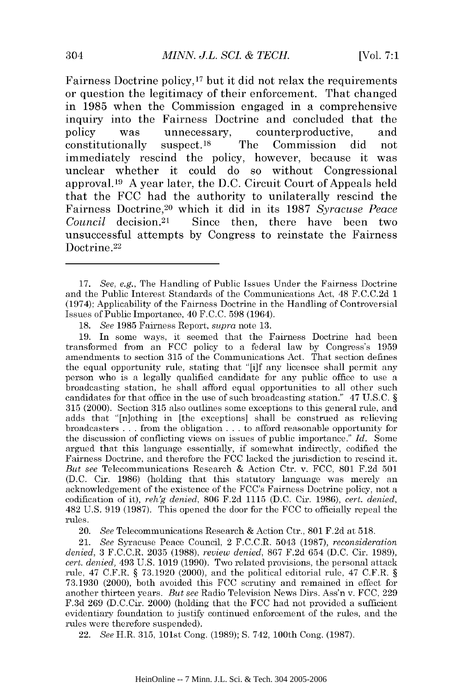Fairness Doctrine policy, 17 but it **did** not relax the requirements Fairness Doctrine policy,17 but it did not relax the requirements or question the legitimacy of their enforcement. That changed or question the legitimacy of their enforcement. That changed in 1985 when the Commission engaged in a comprehensive inquiry into the Fairness Doctrine and concluded that the inquiry into the Fairness Doctrine and concluded that the **policy was** unnecessary, counterproductive, and policy was unnecessary, counterproductive, and constitutionally suspect. 18 The Commission **did** not constitutionally suspect. IS The Commission did not immediately rescind the policy, however, because it was immediately rescind the policy, however, because it was unclear whether it could do so without Congressional unclear whether it could do so without Congressional approval. <sup>19</sup>**A** year later, the **D.C.** Circuit Court of Appeals held approval.I9 A year later, the D.C. Circuit Court Appeals held that the **FCC** had the authority to unilaterally rescind the that the FCC had the authority to unilaterally rescind the Fairness Doctrine, 20 which it **did** in its **1987** *Syracuse Peace* Fairness Doctrine,20 which it did in its 1987 *Syracuse Peace*  Council decision.<sup>21</sup> Since then, there have been two unsuccessful attempts **by** Congress to reinstate the Fairness unsuccessful attempts by Congress to reinstate the Fairness Doctrine.<sup>22</sup>

19. In some ways, it seemed that the Fairness Doctrine had been 19. In some ways, it seemed that the Fairness Doctrine had been transformed from an FCC policy to a federal law by Congress's 1959 amendments to section 315 of the Communications Act. That section defines amendments to section 315 of the Communications Act. That section defines the equal opportunity rule, stating that "[i]f any licensee shall permit any the equal opportunity rule, stating that "[i]f any licensee shall permit any person who is a legally qualified candidate for any public office to use a person who is a legally qualified candidate for any public office to use a broadcasting station, he shall afford equal opportunities to all other such candidates for that office in the use of such broadcasting station." 47 U.S.C. § 315 (2000). Section 315 also outlines some exceptions to this general rule, and adds that "[n]othing in [the exceptions] shall be construed as relieving adds that "[n]othing in [the exceptions] shall be construed as relieving adds that pottning in the exceptions shall be construed as refleving<br>broadcasters ... from the obligation ... to afford reasonable opportunity for the discussion of conflicting views on issues of public importance." *Id.* Some the discussion of conflicting views on issues of public importance." *Id.* Some argued that this language essentially, if somewhat indirectly, codified the argued that this language essentially, if somewhat indirectly, codified the Fairness Doctrine, and therefore the FCC lacked the jurisdiction to rescind it. Fairness Doctrine, and therefore the FCC lacked the jurisdiction to rescind it. *But see* Telecommunications Research & Action Ctr. v. FCC, 801 F.2d 501 *But see* Telecommunications Research & Action Ctr. v. FCC, 801 F.2d 501 (D.C. Cir. 1986) (holding that this statutory language was merely an (D.C. Cir. 1986) (holding that this statutory language was merely an acknowledgement of the existence of the FCC's Fairness Doctrine policy, not a acknowledgement of the existence of the FCC's Fairness Doctrine policy, not a codification of it), *reh'g denied,* 806 F.2d 1115 (D.C. Cir. 1986), *cert. denied,* codification it), *reh'g denied,* 806 F.2d 1115 (D.C. Cir. 1986), *cert. denied,* 482 U.S. 919 (1987). This opened the door for the FCC to officially repeal the 482 U.S. 919 (1987). This opened the door for the FCC to officially repeal the rules. rules.

20. *See* Telecommunications Research & Action Ctr., 801 F.2d at 518. *20. See* Telecommunications Research & Action Ctr., 801 F.2d at 518.

21. See Syracuse Peace Council, 2 F.C.C.R. 5043 (1987), *reconsideration denied,* 3 F.C.C.R. 2035 (1988), *review denied,* 867 F.2d 654 (D.C. Cir. 1989), *denied,* 3 F.C.C.R. 2035 (1988), *review denied,* 867 F.2d 654 (D.C. Cir. 1989), *cert. denied,* 493 U.S. 1019 (1990). Two related provisions, the personal attack *cert. denied,* 493 U.s. 1019 (1990). Two related provisions, the personal attack rule, 47 C.F.R. § 73.1920 (2000), and the political editorial rule, 47 C.F.R. § rule, 47 C.F.R. § 73.1920 (2000), and the political editorial rule, 47 C.F.R. § 73.1930 (2000), both avoided this FCC scrutiny and remained in effect for 73.1930 (2000), both avoided this FCC scrutiny and remained in effect for another thirteen years. *But see* Radio Television News Dirs. Ass'n v. FCC, 229 another thirteen years. *But see* Radio Television News Dirs. Ass'n v. FCC, 229 F.3d 269 (D.C.Cir. 2000) (holding that the FCC had not provided a sufficient evidentiary foundation to justify continued enforcement of the rules, and the evidentiary foundation to justify continued enforcement of the rules, and the rules were therefore suspended). rules were therefore suspended).

22. *See* H.R. 315, 101st Cong. (1989); S. 742, 100th Cong. (1987).

<sup>17.</sup> *See, e.g.,* The Handling of Public Issues Under the Fairness Doctrine *17. See, e.g.,* The Handling of Public Issues Under the Fairness Doctrine and the Public Interest Standards of the Communications Act, 48 F.C.C.2d 1 and the Public Interest Standards the Communications Act, 48 F.C.C.2d 1 (1974); Applicability of the Fairness Doctrine in the Handling of Controversial Issues of Public Importance, 40 F.C.C. 598 (1964). Issues of Public Importance, 40 F.C.C. 598 (1964).

<sup>18.</sup> *See* 1985 Fairness Report, *supra* note 13. *18.* 1985 Fairness Report, *supra* note 13.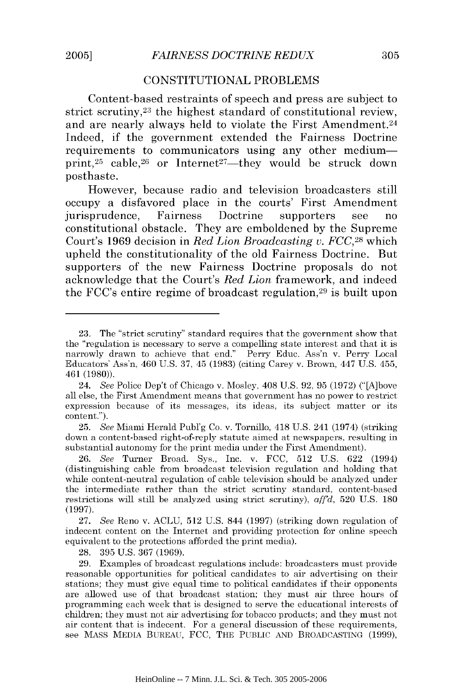### **CONSTITUTIONAL** PROBLEMS CONSTITUTIONAL PROBLEMS

Content-based restraints of speech and press are subject to Content-based restraints of speech and press are subject to strict scrutiny,<sup>23</sup> the highest standard of constitutional review, and are nearly always held to violate the First Amendment.<sup>24</sup> Indeed, **if** the government extended the Fairness Doctrine Indeed, if the government extended the Fairness Doctrine requirements to communicators using any other mediumprint,<sup>25</sup> cable,<sup>26</sup> or Internet<sup>27</sup>—they would be struck down posthaste. posthaste.

However, because radio and television broadcasters still However, because radio and television broadcasters still occupy a disfavored place in the courts' First Amendment occupy a disfavored place the courts' First Amendment jurisprudence, Fairness Doctrine supporters see no jurisprudence, Fairness Doctrine supporters see no constitutional obstacle. They are emboldened **by** the Supreme constitutional obstacle. They are emboldened by the Supreme Court's **1969** decision in *Red Lion Broadcasting v. FCC,28* which Court's 1969 decision *Red Lion Broadcasting v. FCC,28* which upheld the constitutionality of the old Fairness Doctrine. But upheld the constitutionality of the old Fairness Doctrine. But supporters of the new Fairness Doctrine proposals do not supporters of the new Fairness Doctrine proposals do not acknowledge that the Court's *Red Lion* framework, and indeed acknowledge that the Court's *Red Lion* framework, and indeed the FCC's entire regime of broadcast regulation, 29 is built upon the FCC's entire regime of broadcast regulation,29 is built upon

25. See Miami Herald Publ'g Co. v. Tornillo, 418 U.S. 241 (1974) (striking down a content-based right-of-reply statute aimed at newspapers, resulting in down a content-based right-of-reply statute aimed at newspapers, resulting in substantial autonomy for the print media under the First Amendment). substantial autonomy for the print media under the First Amendment).

26. *See* Turner Broad. Sys., Inc. v. FCC, 512 U.S. 622 (1994) *26. See* Turner Broad. Sys., Inc. v. FCC, 512 U.S. 622 (1994) (distinguishing cable from broadcast television regulation and holding that (distinguishing cable from broadcast television regulation and holding that while content-neutral regulation of cable television should be analyzed under while content-neutral regulation of cable television should be analyzed under the intermediate rather than the strict scrutiny standard, content-based the intermediate rather than the strict scrutiny standard, content-based restrictions will still be analyzed using strict scrutiny), aff'd, 520 U.S. 180 (1997). (1997).

27. *See* Reno v. ACLU, 512 U.S. 844 (1997) (striking down regulation of *27. See* Reno v. ACLU, 512 U.S. 844 (1997) (striking down regulation of indecent content on the Internet and providing protection for online speech indecent content on the Internet and providing protection for online speech equivalent to the protections afforded the print media). equivalent to the protections afforded the print media).

28. 395 U.S. 367 (1969). 28. 395 U.S. 367 (1969).

29. Examples of broadcast regulations include: broadcasters must provide 29. Examples of broadcast regulations include: broadcasters must provide reasonable opportunities for political candidates to air advertising on their reasonable opportunities for political candidates to air advertising on their stations; they must give equal time to political candidates if their opponents are allowed use of that broadcast station; they must air three hours of are allowed use of that broadcast station; they must air three hours of programming each week that is designed to serve the educational interests of programming each week that is designed to serve the educational interests of children; they must not air advertising for tobacco products; and they must not children; they must not air advertising for tobacco products; and they must not air content that is indecent. For a general discussion of these requirements, air content that is indecent. For a general discussion of these requirements, see MASS MEDIA BUREAU, FCC, THE PUBLIC AND BROADCASTING (1999), see MASS MEDIA BUREAU, FCC, THE PUBLIC AND BROADCASTING (1999),

<sup>23.</sup> The "strict scrutiny" standard requires that the government show that 23. The "strict scrutiny" standard requires that the government show that the "regulation is necessary to serve a compelling state interest and that it is narrowly drawn to achieve that end." Perry Educ. Ass'n v. Perry Local narrowly drawn to achieve that end." Perry Educ. Ass'n v. Perry Local Educators' Ass'n,  $460$  U.S. 37,  $45$  (1983) (citing Carey v. Brown,  $447$  U.S.  $455$ , 461 (1980)). 461 (1980».

<sup>24.</sup> *See* Police Dep't of Chicago v. Mosley, 408 U.S. 92, 95 (1972) ("[A]bove *24. See* Police Dep't of Chicago v. Mosley, 408 U.S. 92, 95 (1972) ("[A]bove all else, the First Amendment means that government has no power to restrict expression because of its messages, its ideas, its subject matter or its expression because of its messages, its ideas, its subject matter or its content."). content.").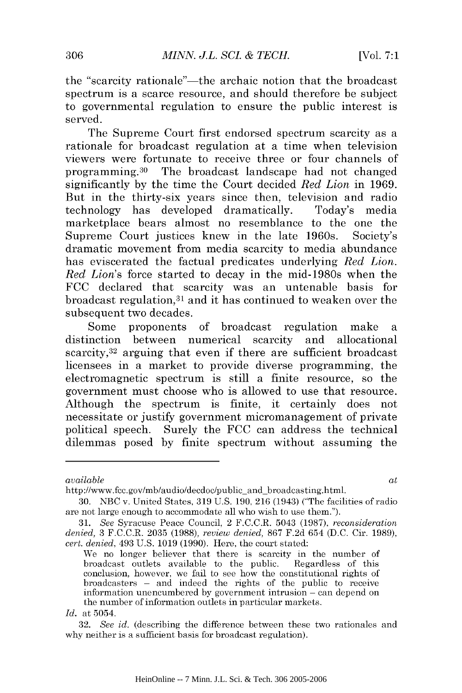the "scarcity rationale"—the archaic notion that the broadcast spectrum is a scarce resource, and should therefore be subject spectrum is a scarce resource, and should therefore be subject to governmental regulation to ensure the public interest is served. served.

The Supreme Court first endorsed spectrum scarcity as a The Supreme Court first endorsed spectrum scarcity as a rationale for broadcast regulation at a time when television rationale for broadcast regulation at a time when television viewers were fortunate to receive three or four channels of viewers were fortunate to receive three or four channels of programming. 30 The broadcast landscape had not changed programming. 30 The broadcast landscape had not changed significantly by the time the Court decided *Red Lion* in 1969. significantly by the the Court decided *Red Lion* in 1969. But in the thirty-six years since then, television and radio But in the thirty-six years since then, television and radio technology has developed dramatically. Today's media technology has developed dramatically. Today's media marketplace bears almost no resemblance to the one the marketplace bears almost no resemblance to the one the Supreme Court justices knew in the late 1960s. Society's Supreme Court justices knew in the late 1960s. Society's dramatic movement from media scarcity to media abundance dramatic movement from media scarcity to media abundance has eviscerated the factual predicates underlying *Red Lion.* has eviscerated the factual predicates underlying *Red Lion. Red Lion's* force started to decay in the mid-1980s when the *Red Lion's* force started to decay in the mid-1980s when the FCC declared that scarcity was an untenable basis for FCC declared that scarcity was an untenable basis for broadcast regulation,<sup>31</sup> and it has continued to weaken over the subsequent two decades. subsequent two decades.

Some proponents of broadcast regulation make a Some proponents of broadcast regulation make a distinction between numerical scarcity and allocational distinction between numerical scarcity and allocational scarcity,<sup>32</sup> arguing that even if there are sufficient broadcast licensees in a market to provide diverse programming, the electromagnetic spectrum is still a finite resource, so the electromagnetic spectrum is still a finite resource, so the government must choose who is allowed to use that resource. government must choose who is allowed to use that resource. Although the spectrum is finite, it certainly does not Although the spectrum is finite, it certainly does not necessitate or justify government micromanagement of private necessitate or justify government micromanagement of private political speech. Surely the FCC can address the technical political speech. Surely the FCC can address the technical dilemmas posed by finite spectrum without assuming the dilemmas posed finite spectrum without assuming the

*available at available at* 

http://www.fcc.gov/mb/audio/decdoc/public and broadcasting.html. http://www.fcc.gov/mb/audio/decdoc/public\_and\_broadcasting.html.

<sup>30.</sup> NBC v. United States, 319 U.S. 190, 216 (1943) ("The facilities of radio NBC v. United States, 319 U.S. 190,216 (1943) ("The facilities of radio are not large enough to accommodate all who wish to use them.").

<sup>31.</sup> *See* Syracuse Peace Council, 2 F.C.C.R. 5043 (1987), *reconsideration* 31. *See* Syracuse Peace Council, 2 F.C.C.R. 5043 (1987), *reconsideration denied,* 3 F.C.C.R. 2035 (1988), *review denied,* 867 F.2d 654 (D.C. Cir. 1989), *denied,* 3 F.C.C.R. 2035 (1988), *review denied,* 867 F.2d 654 (D.C. Cir. 1989), *cert. denied,* 493 U.S. 1019 (1990). Here, the court stated: *cert. denied,* 493 U.S. 1019 (1990). Here, court stated:

We no longer believer that there is scarcity in the number of We no longer believer that there is scarcity in the number of broadcast outlets available to the public. Regardless of this broadcast outlets available to the public. Regardless of this conclusion, however, we fail to see how the constitutional rights of broadcasters **-** and indeed the rights of the public to receive broadcasters - and indeed the rights of the public to receive information unencumbered by government intrusion **-** can depend on information unencumbered by government intrusion - can depend on the number of information outlets in particular markets. the number of information outlets in particular markets.

*Id.* at 5054. *Id.* at 5054.

<sup>32.</sup> *See id.* (describing the difference between these two rationales and *32. See id.* (describing the difference between these two rationales and why neither is a sufficient basis for broadcast regulation). why neither is a sufficient basis for broadcast regulation).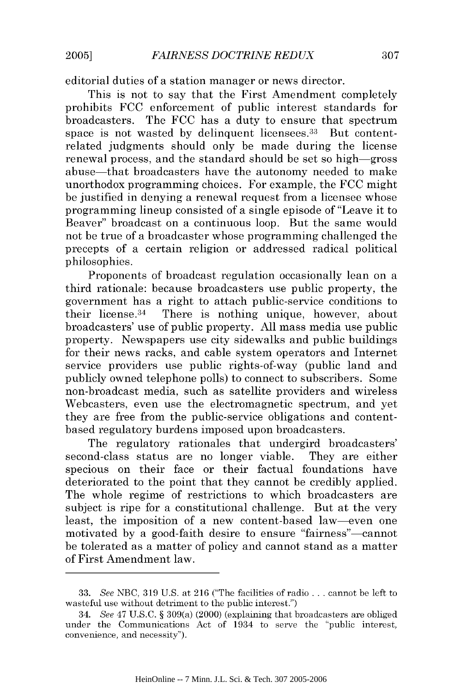editorial duties of a station manager or news director. editorial duties of a station manager or news director.

This is not to say that the First Amendment completely This is not to say that the First Amendment completely prohibits FCC enforcement of public interest standards for broadcasters. The FCC has a duty to ensure that spectrum broadcasters. The FCC has a duty to ensure that spectrum space is not wasted by delinquent licensees.<sup>33</sup> But contentrelated judgments should only be made during the license related judgments should only be made during the license renewal process, and the standard should be set so high-gross renewal process, and the standard should be set so high-gross abuse—that broadcasters have the autonomy needed to make unorthodox programming choices. For example, the FCC might unorthodox programming choices. For example, the FCC might be justified in denying a renewal request from a licensee whose programming lineup consisted of a single episode of "Leave it to Beaver" broadcast on a continuous loop. But the same would Beaver" broadcast on a continuous loop. But the same would not be true of a broadcaster whose programming challenged the not be true of a broadcaster whose programming challenged the precepts of a certain religion or addressed radical political precepts a certain religion or addressed radical political philosophies. philosophies.

Proponents of broadcast regulation occasionally lean on a Proponents of broadcast regulation occasionally lean on a third rationale: because broadcasters use public property, the third rationale: because broadcasters use public property, the government has a right to attach public-service conditions to their license.34 There is nothing unique, however, about their license. 34 There is nothing unique, however, about broadcasters' use of public property. All mass media use public broadcasters' use of public property. All mass media use public property. Newspapers use city sidewalks and public buildings property. Newspapers use city sidewalks and public buildings for their news racks, and cable system operators and Internet for their news racks, and cable system operators and Internet service providers use public rights-of-way (public land and service providers use public rights-of-way (public land and publicly owned telephone polls) to connect to subscribers. Some publicly owned telephone polls) connect to subscribers. Some non-broadcast media, such as satellite providers and wireless non-broadcast media, such as satellite providers and wireless Webcasters, even use the electromagnetic spectrum, and yet Webcasters, even use the electromagnetic spectrum, and yet they are free from the public-service obligations and contentbased regulatory burdens imposed upon broadcasters. based regulatory burdens imposed upon broadcasters.

The regulatory rationales that undergird broadcasters' The regulatory rationales that undergird broadcasters' second-class status are no longer viable. They are either second-class status are no longer viable. They are either specious on their face or their factual foundations have specious on their face or their factual foundations have deteriorated to the point that they cannot be credibly applied. deteriorated to the point that they cannot be credibly applied. The whole regime of restrictions to which broadcasters are subject is ripe for a constitutional challenge. But at the very subject is ripe for a constitutional challenge. But at the very least, the imposition of a new content-based law-even one least, the imposition of a new content-based law-even one motivated by a good-faith desire to ensure "fairness"-cannot motivated by a good-faith desire to ensure "fairness"-cannot be tolerated as a matter of policy and cannot stand as a matter be tolerated as a matter policy and cannot stand as a matter of First Amendment law. of First Amendment law.

<sup>33.</sup> *See* NBC, 319 U.S. at 216 ("The facilities of radio . . . cannot be left to *33. See* NBC, 319 U.S. at 216 ("The facilities of radio ... cannot be left to wasteful use without detriment to the public interest.") wasteful use without detriment to the public interest.")

<sup>34.</sup> See 47 U.S.C. § 309(a) (2000) (explaining that broadcasters are obliged *34. See* 47 U.S.C. § 309(a) (2000) (explaining that broadcasters are obliged under the Communications Act of 1934 to serve the "public interest, under the Communications Act of 1934 to serve the "public interest, convenience, and necessity"). convenience, and necessity").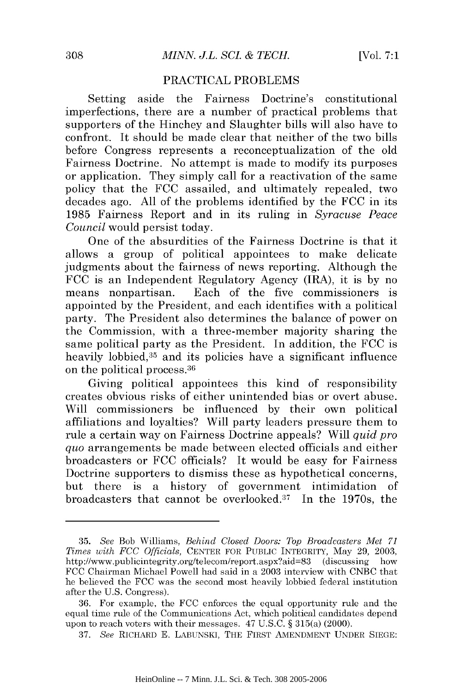### PRACTICAL PROBLEMS PRACTICAL PROBLEMS

Setting aside the Fairness Doctrine's constitutional imperfections, there are a number of practical problems that imperfections, there are a number of practical problems that supporters of the Hinchey and Slaughter bills will also have to supporters of the Hinchey and Slaughter bills will also have to confront. It should be made clear that neither of the two bills before Congress represents a reconceptualization of the old before Congress represents a reconceptualization of the old Fairness Doctrine. No attempt is made to modify its purposes Fairness Doctrine. No attempt is made to modify its purposes or application. They simply call for a reactivation of the same or application. They simply call for a reactivation of the same policy that the FCC assailed, and ultimately repealed, two policy that the FCC assailed, and ultimately repealed, two decades ago. All of the problems identified by the FCC in its decades ago. All of the problems identified by the FCC in its 1985 Fairness Report and in its ruling in *Syracuse Peace* 1985 Fairness Report and in its ruling in *Syracuse Peace Council* would persist today. *Council* would persist today.

One of the absurdities of the Fairness Doctrine is that it One of the absurdities of the Fairness Doctrine is that it allows a group of political appointees to make delicate judgments about the fairness of news reporting. Although the judgments about the fairness of news reporting. Although the FCC is an Independent Regulatory Agency (IRA), it is by no FCC is an Independent Regulatory Agency (IRA), it is by no means nonpartisan. Each of the five commissioners is means nonpartisan. Each of the five commissioners is appointed by the President, and each identifies with a political appointed by the President, and each identifies with a political party. The President also determines the balance of power on the Commission, with a three-member majority sharing the the Commission, with a three-member majority sharing the same political party as the President. In addition, the FCC is same political party as the President. **In** addition, the FCC is heavily lobbied,35 and its policies have a significant influence heavily lobbied,35 and its policies have a significant influence on the political process.<sup>36</sup> on the political process.36

Giving political appointees this kind of responsibility Giving political appointees this kind of responsibility creates obvious risks of either unintended bias or overt abuse. creates obvious risks of either unintended bias or overt abuse. Will commissioners be influenced by their own political Will commissioners be influenced by their own political affiliations and loyalties? Will party leaders pressure them to affiliations and loyalties? Will party leaders pressure them to rule a certain way on Fairness Doctrine appeals? Will *quid pro* rule a certain way on Fairness Doctrine appeals? Will *quid pro quo* arrangements be made between elected officials and either *quo* arrangements be made between elected officials and either broadcasters or FCC officials? It would be easy for Fairness broadcasters or FCC officials? It would be easy for Fairness Doctrine supporters to dismiss these as hypothetical concerns, Doctrine supporters to dismiss these as hypothetical concerns, but there is a history of government intimidation of broadcasters that cannot be overlooked. 37 In the 1970s, the broadcasters that cannot be overlooked.37 **In** 1970s, the

<sup>35.</sup> *See* Bob Williams, *Behind Closed Doors: Top Broadcasters Met 71 35. See* Bob Williams, *Behind Closed Doors: Top Broadcasters Met 71 Times with FCC Officials,* CENTER FOR PUBLIC INTEGRITY, May 29, 2003, *Times with FCC Officials,* CENTER FOR PUBLIC INTEGRITY, May 29, 2003, http://www.publicintegrity.org/telecom/report.aspx?aid=83 (discussing how FCC Chairman Michael Powell had said in a 2003 interview with CNBC that FCC Chairman Michael Powell had said in a 2003 interview with CNBC that he believed the FCC was the second most heavily lobbied federal institution he believed the FCC was the second most heavily lobbied federal institution after the U.S. Congress). after the U.S. Congress).

<sup>36.</sup> For example, the FCC enforces the equal opportunity rule and the 36. For example, the FCC enforces the equal opportunity rule and the equal time rule of the Communications Act, which political candidates depend equal time rule of the Communications Act, which political candidates depend upon to reach voters with their messages. 47 U.S.C. § 315(a) (2000). upon to reach voters with their messages. 47 U.S.C. § 315(a) (2000).

<sup>37.</sup> *See* RICHARD E. LABUNSKI, THE FIRST AMENDMENT UNDER SIEGE: *37. See* RICHARD E. LABUNSKI, THE FIRST AMENDMENT UNDER SIEGE: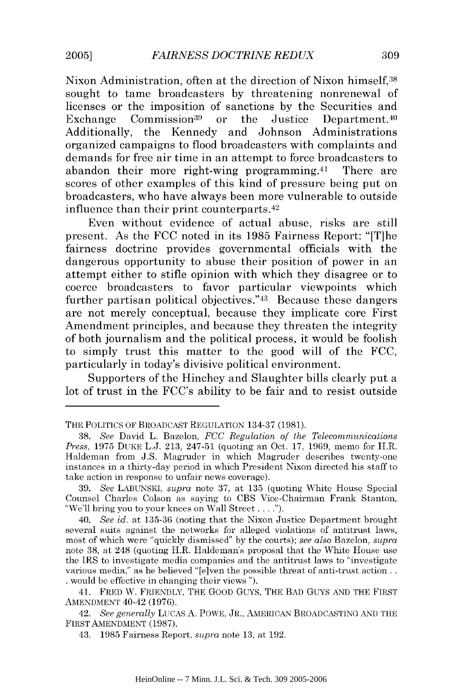Nixon Administration, often at the direction of Nixon himself,38 Nixon Administration, often at the direction of Nixon himself,38 sought to tame broadcasters by threatening nonrenewal of licenses or the imposition of sanctions by the Securities and licenses or the imposition of sanctions by the Securities and Exchange Commission<sup>39</sup> or the Justice Department.<sup>40</sup> Additionally, the Kennedy and Johnson Administrations Additionally, the Kennedy and Johnson Administrations organized campaigns to flood broadcasters with complaints and organized campaigns to flood broadcasters with complaints and demands for free air time in an attempt to force broadcasters to demands for free air time in an attempt to force broadcasters to abandon their more right-wing programming.<sup>41</sup> There are scores of other examples of this kind of pressure being put on scores of other examples of this kind of pressure being put on broadcasters, who have always been more vulnerable to outside broadcasters, who have always been more vulnerable to outside influence than their print counterparts.<sup>42</sup>

Even without evidence of actual abuse, risks are still Even without evidence actual abuse, risks are still present. As the FCC noted in its 1985 Fairness Report: "IT]he present. As the FCC noted in its 1985 Fairness Report: "[T]he fairness doctrine provides governmental officials with the fairness doctrine provides governmental officials with the dangerous opportunity to abuse their position of power in an attempt either to stifle opinion with which they disagree or to attempt either to stifle opinion with they disagree or to coerce broadcasters to favor particular viewpoints which coerce broadcasters to favor particular viewpoints which further partisan political objectives."<sup>43</sup> Because these dangers are not merely conceptual, because they implicate core First are not merely conceptual, because they implicate core First Amendment principles, and because they threaten the integrity Amendment principles, and because they threaten the integrity of both journalism and the political process, it would be foolish of both journalism and the political process, it would be foolish to simply trust this matter to the good will of the FCC, particularly in today's divisive political environment. particularly in today's divisive political environment.

Supporters of the Hinchey and Slaughter bills clearly put a Supporters of the Hinchey and Slaughter bills clearly put a lot of trust in the FCC's ability to be fair and to resist outside

THE POLITICS OF BROADCAST REGULATION 134-37 (1981). THE POLITICS OF BROADCAST REGULATION 134-37 (1981).

<sup>38.</sup> *See* David L. Bazelon, *FCC Regulation of the Telecommunications 38. See* David L. Bazelon, *FCC Regulation of the Telecommunications Press,* 1975 DUKE L.J. 213, 247-51 (quoting an Oct. 17, 1969, memo for H.R. *Press,* 1975 DUKE L.J. 213, 247-51 (quoting an Oct. 17, 1969, memo for H.R. Haldeman from J.S. Magruder in which Magruder describes twenty-one Haldeman from J.S. Magruder in which Magruder describes twenty-one instances in a thirty-day period in which President Nixon directed his staff to take action in response to unfair news coverage). take action in response to unfair news coverage).

<sup>39.</sup> See LABUNSKI, *supra* note 37, at 135 (quoting White House Special Counsel Charles Colson as saying to CBS Vice-Chairman Frank Stanton, Counsel Charles Colson as saying to CBS Vice-Chairman Frank Stanton, "We'll bring you to your knees on Wall Street **.. ").** "We'll bring you to your knees on Wall Street .... ").

<sup>40.</sup> *See id.* at 135-36 (noting that the Nixon Justice Department brought *40. See id.* at 135-36 (noting that the Nixon Justice Department brought several suits against the networks for alleged violations of antitrust laws, several suits against the networks for alleged violations of antitrust laws, most of which were "quickly dismissed" by the courts); *see also* Bazelon, *supra* most of which were "quickly dismissed" by the courts); *see also* Bazelon, *supra*  note 38, at 248 (quoting H.R. Haldeman's proposal that the White House use note 38, at 248 (quoting H.R. Haldeman's proposal that the White House use the IRS to investigate media companies and the antitrust laws to "investigate the IRS to investigate media companies and the antitrust laws to "investigate various media," as he believed "[e]ven the possible threat of anti-trust action . . would be effective in changing their views **").** . would be effective in changing their views ").

<sup>41.</sup> FRED W. FRIENDLY, THE GOOD GUYS, THE BAD GUYS AND THE FIRST 41. FRED W. FRIENDLY, THE GOOD GUYS, THE BAD GuyS AND THE FIRST AMENDMENT 40-42 (1976). AMENDMENT 40-42 (1976).

<sup>42.</sup> *See generally* LUCAS A. POWE, JR., AMERICAN BROADCASTING AND THE *42. See generally* LUCAS A. POWE, JR., AMERICAN BROADCASTING AND THE FIRST AMENDMENT (1987). FIRST AMENDMENT (1987).

<sup>43. 1985</sup> Fairness Report, *supra* note 13, at 192. 43. 1985 Fairness Report, *supra* note 13, at 192.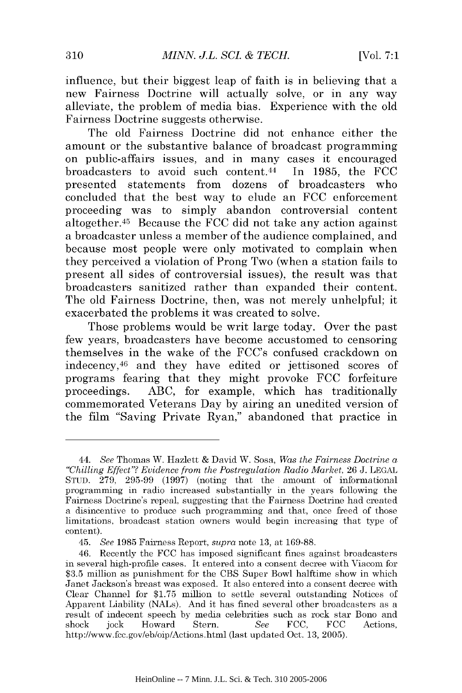influence, but their biggest leap of faith is in believing that a influence, but their biggest leap of faith in believing that a new Fairness Doctrine will actually solve, or in any way new Fairness Doctrine will actually solve, or in any way alleviate, the problem of media bias. Experience with the old alleviate, the problem of media bias. Experience with the old Fairness Doctrine suggests otherwise. Fairness Doctrine suggests otherwise.

The old Fairness Doctrine did not enhance either the The old Fairness Doctrine did not enhance either the amount or the substantive balance of broadcast programming amount or the substantive balance of broadcast programming on public-affairs issues, and in many cases it encouraged on public-affairs issues, and in many cases it encouraged broadcasters to avoid such content.<sup>44</sup> In 1985, the FCC presented statements from dozens of broadcasters who presented statements from dozens of broadcasters who concluded that the best way to elude an FCC enforcement concluded that the best way to elude an FCC enforcement proceeding was to simply abandon controversial content proceeding was to simply abandon controversial content altogether.<sup>45</sup> Because the FCC did not take any action against a broadcaster unless a member of the audience complained, and a broadcaster unless a member of the audience complained, and because most people were only motivated to complain when because most people were only motivated to complain when they perceived a violation of Prong Two (when a station fails to they perceived a violation of Prong Two (when a station fails to present all sides of controversial issues), the result was that present all sides controversial issues), the result was that broadcasters sanitized rather than expanded their content. broadcasters sanitized rather than expanded their content. The old Fairness Doctrine, then, was not merely unhelpful; it The old Fairness Doctrine, then, was not merely unhelpful; it exacerbated the problems it was created to solve. exacerbated the problems it was created to solve.

Those problems would be writ large today. Over the past Those problems would be writ large today. Over the past few years, broadcasters have become accustomed to censoring few years, broadcasters have become accustomed to censoring themselves in the wake of the FCC's confused crackdown on themselves in the wake the FCC's confused crackdown on indecency, 46 and they have edited or jettisoned scores of indecency,46 and they have edited or jettisoned scores of programs fearing that they might provoke FCC forfeiture programs fearing that they might provoke FCC forfeiture proceedings. ABC, for example, which has traditionally proceedings. ABC, for example, which has traditionally commemorated Veterans Day by airing an unedited version of commemorated Veterans Day by airing an unedited version of the film "Saving Private Ryan," abandoned that practice in

<sup>44.</sup> See Thomas W. Hazlett & David W. Sosa, *Was the Fairness Doctrine a "Chilling Effect"? Evidence from the Postregulation Radio Market,* 26 J. **LEGAL** *"Chilling Effect"? Evidence from the Postregulation Radio Market,* 26 J. LEGAL STUD.  $279, 295-99$  (1997) (noting that the amount of informational programming in radio increased substantially in the years following the programming in radio increased substantially in the years following the Fairness Doctrine's repeal, suggesting that the Fairness Doctrine had created Fairness Doctrine's repeal, suggesting that the Fairness Doctrine had created a disincentive to produce such programming and that, once freed of those limitations, broadcast station owners would begin increasing that type of limitations, broadcast station owners would begin increasing that type of content). content).

<sup>45.</sup> *See* 1985 Fairness Report, *supra* note 13, at 169-88. *45. See* 1985 Fairness Report, *supra* note at 169-88.

<sup>46.</sup> Recently the FCC has imposed significant fines against broadcasters 46. Recently the FCC has imposed significant fines against broadcasters in several high-profile cases. It entered into a consent decree with Viacom for in several high-profile cases. It entered into a consent decree with Viacom for \$3.5 million as punishment for the CBS Super Bowl halftime show in which \$3.5 million as punishment for the CBS Super Bowl halftime show in which Janet Jackson's breast was exposed. It also entered into a consent decree with Janet Jackson's breast exposed. It also entered into a consent decree with Clear Channel for \$1.75 million to settle several outstanding Notices of Clear Channel for \$1.75 million to settle several outstanding Notices of Apparent Liability (NALs). And it has fined several other broadcasters as a Apparent Liability (NALs). And it has fined several other broadcasters as a result of indecent speech by media celebrities such as rock star Bono and result of indecent speech by media celebrities such as rock star Bono and shock jock Howard Stern. *See* FCC, FCC Actions, http://www.fcc.gov/eb/oip/Actions.html (last updated Oct. 13, 2005). http://www.fcc.gov/eb/oip/Actions.html (last updated Oct. 13, 2005). shock jock Howard Stern. *See* FCC, FCC Actions,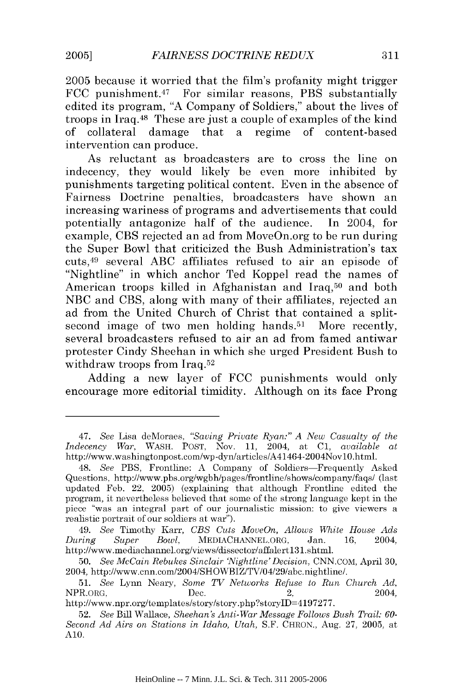2005 because it worried that the film's profanity might trigger 2005 because it worried that the film's profanity might trigger FCC punishment. 47 For similar reasons, PBS substantially FCC punishment.47 For similar reasons, PBS substantially edited its program, "A Company of Soldiers," about the lives of troops in Iraq. 48 These are just a couple of examples of the kind troops in Iraq.48 These are just a couple of examples of the kind of collateral damage that a regime of content-based of collateral damage that a regIme of content-based intervention can produce. intervention can produce.

As reluctant as broadcasters are to cross the line on As reluctant as broadcasters are to cross the line on indecency, they would likely be even more inhibited by indecency, they would likely be even more inhibited by punishments targeting political content. Even in the absence of punishments targeting political content. Even in the absence of Fairness Doctrine penalties, broadcasters have shown an Fairness Doctrine penalties, broadcasters have shown an increasing wariness of programs and advertisements that could increasing wariness of programs and advertisements that could potentially antagonize half of the audience. In 2004, for potentially antagonize half of audience. **In** 2004, for example, CBS rejected an ad from MoveOn.org to be run during example, CBS rejected an ad from MoveOn.org to be run during the Super Bowl that criticized the Bush Administration's tax the Super Bowl that criticized the Bush Administration's tax cuts, 49 several ABC affiliates refused to air an episode of cuts,49 several ABC affiliates refused to air an episode of "Nightline" in which anchor Ted Koppel read the names of "Nightline" in which anchor Ted Koppel read the names of American troops killed in Afghanistan and Iraq,<sup>50</sup> and both NBC and CBS, along with many of their affiliates, rejected an NBC and CBS, along with many of their affiliates, rejected an ad from the United Church of Christ that contained a splitsecond image of two men holding hands.<sup>51</sup> More recently, several broadcasters refused to air an ad from famed antiwar several broadcasters refused to air an ad from famed antiwar protester Cindy Sheehan in which she urged President Bush to protester Cindy Sheehan in which she urged President Bush to withdraw troops from  $\text{Iraq.52}$ 

Adding a new layer of FCC punishments would only Adding a new layer of FCC punishments would only encourage more editorial timidity. Although on its face Prong encourage more editorial timidity. Although on its face Prong

<sup>47.</sup> *See* Lisa deMoraes, *"Saving Private Ryan:" A New Casualty of the 47. See* Lisa deMoraes, *"Saving Private Ryan:" A New Casualty of the Indecency War*, WASH. POST, Nov. 11, 2004, at C1, *available at* http://www.washingtonpost.com/wp-dyn/articles/A41464-2004Nov10.html. http://www.washingtonpost.com/wp-dyn/articles/A4l464-2004NovlO.html.

<sup>48.</sup> *See* PBS, Frontline: A Company of Soldiers-Frequently Asked *48. See* PBS, Frontline: A Company of Soldiers-Frequently Asked Questions, http://www.pbs.org/wgbh/pages/frontline/shows/company/faqs/ (last Questions, http://www.pbs.org/wgbhlpages/frontline/shows/company/faq*sl* (last updated Feb. 22, 2005) (explaining that although Frontline edited the updated Feb. 22, 2005) (explaining that although Frontline edited the program, it nevertheless believed that some of the strong language kept in the program, it nevertheless believed that some of the strong language kept in the piece "was an integral part of our journalistic mission: to give viewers a piece "was an integral part of our journalistic mission: to give viewers a realistic portrait of our soldiers at war"). realistic portrait of our soldiers at war").

<sup>49.</sup> *See* Timothy Karr, *CBS Cuts MoveOn, Allows White House Ads 49. See* Timothy Karr, *CBS Cuts MoveOn, Allows White House Ads During Super Bowl,* MEDIACHANNEL.ORG, Jan. 16, 2004, *During Super Bowl,* MEDlACHANNEL.ORG, Jan. 16, 2004, http://www.mediachannel.org/views/dissector/affalert13l.shtml. http://www.mediachannel.org/views/dissector/affalert13l.shtml.

<sup>50.</sup> *See McCain Rebukes Sinclair 'Nigh tline'Decision,* CNN.COM, April 30, *50. See McCain Rebuhes Sinclair 'Nightline'Decision,* CNN.COM, April 30, 2004, http://www.cnn.com/2004/SHOWBIZ/TV/04/29/abc.nightline/. 2004, http://www.cnn.com/2004/SHOWBIZ/TV/04/29/abc.nightline/.

<sup>51.</sup> *See* Lynn Neary, *Some TV Networks Refuse to Run Church Ad,* 51. *See* Lynn Neary, *Some TV Networhs Refuse to Run Church Ad,*   $NPR \cdot ORG$ ,  $Dec.$   $2004$ ,

http ://www.npr.org/templates/story/story.php?storylD=4197277. *http://www* .npr .org/templa *tes/story/story.* php ?story ID=4197277 .

<sup>52.</sup> *See* Bill Wallace, *Sheehan's Anti-War Message Follows Bush Trail: 60- 52. See* Bill Wallace, *Sheehan's Anti-War Message Follows Bush Trail: 60- Second Ad Airs on Stations in Idaho, Utah,* S.F. CHRON., Aug. 27, 2005, at *Second Ad Airs on Stations in Idaho, Utah,* S.F. CHRON., Aug. 27, 2005, at A10. AlO.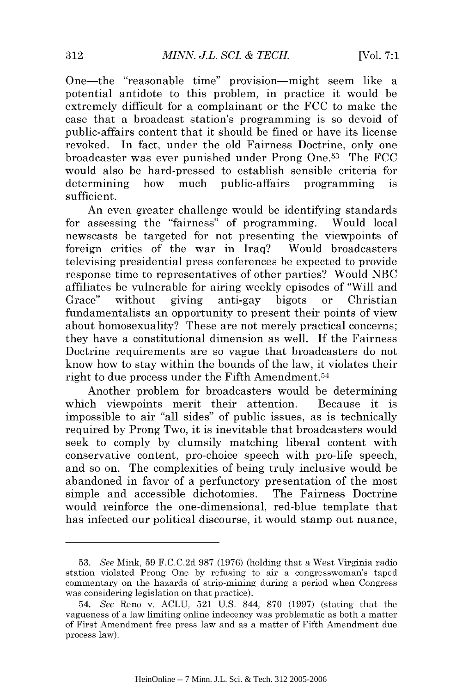One-the "reasonable time" provision-might seem like a One-the "reasonable time" provision-might seem like a potential antidote to this problem, in practice it would be potential antidote to this problem, in practice it would be extremely difficult for a complainant or the FCC to make the case that a broadcast station's programming is so devoid of public-affairs content that it should be fined or have its license public-affairs content that it should be fined or have its license revoked. In fact, under the old Fairness Doctrine, only one revoked. In fact, under the old Fairness Doctrine, only one broadcaster was ever punished under Prong One.<sup>53</sup> The FCC would also be hard-pressed to establish sensible criteria for would also be hard-pressed to establish sensible criteria for determining how much public-affairs programming is sufficient. sufficient.

An even greater challenge would be identifying standards An even greater challenge would be identifying standards for assessing the "fairness" of programming. Would local newscasts be targeted for not presenting the viewpoints of newscasts be targeted for not presenting the viewpoints of foreign critics of the war in Iraq? Would broadcasters televising presidential press conferences be expected to provide televising presidential press conferences be expected to provide response time to representatives of other parties? Would NBC affiliates be vulnerable for airing weekly episodes of "Will and affiliates be vulnerable for airing weekly episodes of "Will and Grace" without giving anti-gay bigots or fundamentalists an opportunity to present their points of view fundamentalists an opportunity to present their points of view about homosexuality? These are not merely practical concerns; about homosexuality? These are not merely practical concerns; they have a constitutional dimension as well. If the Fairness they have a constitutional dimension as well. If the Fairness Doctrine requirements are so vague that broadcasters do not Doctrine requirements are so vague that broadcasters do not know how to stay within the bounds of the law, it violates their know how to stay within the bounds of the law, it violates their right to due process under the Fifth Amendment. <sup>54</sup> right to due process under the Fifth Amendment. <sup>54</sup> Christian

Another problem for broadcasters would be determining Another problem for broadcasters would be determining which viewpoints merit their attention. Because it is impossible to air "all sides" of public issues, as is technically required by Prong Two, it is inevitable that broadcasters would required by Prong Two, it is inevitable that broadcasters would seek to comply by clumsily matching liberal content with seek to comply by clumsily matching liberal content with conservative content, pro-choice speech with pro-life speech, conservative content, pro-choice speech with pro-life speech, and so on. The complexities of being truly inclusive would be and so on. The complexities of being truly inclusive would be abandoned in favor of a perfunctory presentation of the most abandoned in favor a perfunctory presentation of the most simple and accessible dichotomies. The Fairness Doctrine would reinforce the one-dimensional, red-blue template that would reinforce the one-dimensional, red-blue template that has infected our political discourse, it would stamp out nuance, has infected our political discourse, it would stamp out nuance,

<sup>53.</sup> See Mink, 59 F.C.C.2d 987 (1976) (holding that a West Virginia radio *53. See* Mink, 59 F.C.C.2d 987 (1976) (holding that a Virginia radio station violated Prong One by refusing to air a congresswoman's taped station violated Prong One by refusing to air a congresswoman's taped commentary on the hazards of strip-mining during a period when Congress commentary on the hazards of strip-mining during a period when Congress was considering legislation on that practice). was considering legislation on that practice).

<sup>54.</sup> See Reno v. ACLU, 521 U.S. 844, 870 (1997) (stating that the *54. See* Reno v. ACLU, 521 U.S. 844, 870 (1997) (stating that the vagueness of a law limiting online indecency was problematic as both a matter vagueness of a law limiting online indecency was problematic as both a matter of First Amendment free press law and as a matter of Fifth Amendment due of First Amendment free press law and as a matter of Fifth Amendment due process law). process law).